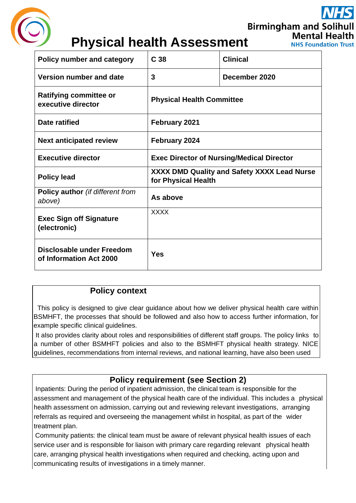

**Birmingham and Sol** 

**Mental Health** 

**NHS Foundation Trust** 

# **Physical health Assessment**

| <b>Policy number and category</b>                    | C <sub>38</sub>                                                    | <b>Clinical</b> |
|------------------------------------------------------|--------------------------------------------------------------------|-----------------|
| Version number and date                              | 3                                                                  | December 2020   |
| <b>Ratifying committee or</b><br>executive director  | <b>Physical Health Committee</b>                                   |                 |
| Date ratified                                        | February 2021                                                      |                 |
| <b>Next anticipated review</b>                       | February 2024                                                      |                 |
| <b>Executive director</b>                            | <b>Exec Director of Nursing/Medical Director</b>                   |                 |
| <b>Policy lead</b>                                   | XXXX DMD Quality and Safety XXXX Lead Nurse<br>for Physical Health |                 |
| Policy author (if different from<br>above)           | As above                                                           |                 |
| <b>Exec Sign off Signature</b><br>(electronic)       | <b>XXXX</b>                                                        |                 |
| Disclosable under Freedom<br>of Information Act 2000 | Yes                                                                |                 |

#### **Policy context**

This policy is designed to give clear guidance about how we deliver physical health care within BSMHFT, the processes that should be followed and also how to access further information, for example specific clinical guidelines.

It also provides clarity about roles and responsibilities of different staff groups. The policy links to a number of other BSMHFT policies and also to the BSMHFT physical health strategy. NICE guidelines, recommendations from internal reviews, and national learning, have also been used

### **Policy requirement (see Section 2)**

Inpatients: During the period of inpatient admission, the clinical team is responsible for the assessment and management of the physical health care of the individual. This includes a physical health assessment on admission, carrying out and reviewing relevant investigations, arranging referrals as required and overseeing the management whilst in hospital, as part of the wider treatment plan.

Community patients: the clinical team must be aware of relevant physical health issues of each service user and is responsible for liaison with primary care regarding relevant physical health care, arranging physical health investigations when required and checking, acting upon and communicating results of investigations in a timely manner.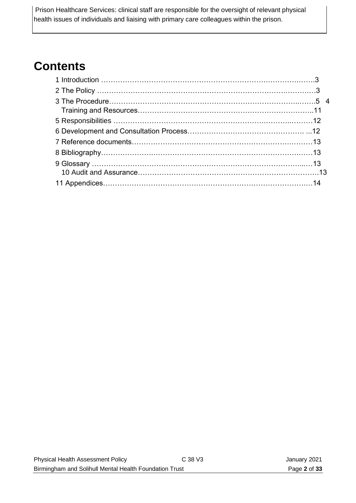Prison Healthcare Services: clinical staff are responsible for the oversight of relevant physical health issues of individuals and liaising with primary care colleagues within the prison.

# **Contents**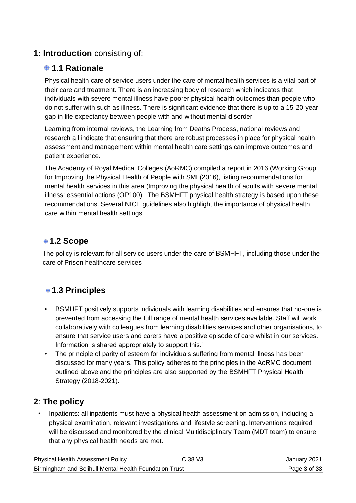### **1: Introduction** consisting of:

### **1.1 Rationale**

Physical health care of service users under the care of mental health services is a vital part of their care and treatment. There is an increasing body of research which indicates that individuals with severe mental illness have poorer physical health outcomes than people who do not suffer with such as illness. There is significant evidence that there is up to a 15-20-year gap in life expectancy between people with and without mental disorder

Learning from internal reviews, the Learning from Deaths Process, national reviews and research all indicate that ensuring that there are robust processes in place for physical health assessment and management within mental health care settings can improve outcomes and patient experience.

The Academy of Royal Medical Colleges (AoRMC) compiled a report in 2016 (Working Group for Improving the Physical Health of People with SMI (2016), listing recommendations for mental health services in this area (Improving the physical health of adults with severe mental illness: essential actions (OP100). The BSMHFT physical health strategy is based upon these recommendations. Several NICE guidelines also highlight the importance of physical health care within mental health settings

#### **1.2 Scope**

The policy is relevant for all service users under the care of BSMHFT, including those under the care of Prison healthcare services

### **1.3 Principles**

- BSMHFT positively supports individuals with learning disabilities and ensures that no-one is prevented from accessing the full range of mental health services available. Staff will work collaboratively with colleagues from learning disabilities services and other organisations, to ensure that service users and carers have a positive episode of care whilst in our services. Information is shared appropriately to support this.'
- The principle of parity of esteem for individuals suffering from mental illness has been discussed for many years. This policy adheres to the principles in the AoRMC document outlined above and the principles are also supported by the BSMHFT Physical Health Strategy (2018-2021).

#### **2**: **The policy**

• Inpatients: all inpatients must have a physical health assessment on admission, including a physical examination, relevant investigations and lifestyle screening. Interventions required will be discussed and monitored by the clinical Multidisciplinary Team (MDT team) to ensure that any physical health needs are met.

| <b>Physical Health Assessment Policy</b>               | C 38 V 3 | January 2021 |
|--------------------------------------------------------|----------|--------------|
| Birmingham and Solihull Mental Health Foundation Trust |          | Page 3 of 33 |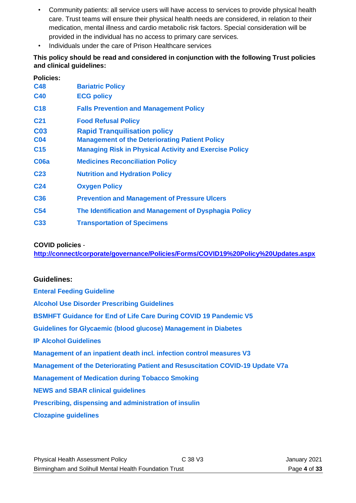- Community patients: all service users will have access to services to provide physical health care. Trust teams will ensure their physical health needs are considered, in relation to their medication, mental illness and cardio metabolic risk factors. Special consideration will be provided in the individual has no access to primary care services.
- Individuals under the care of Prison Healthcare services

#### **This policy should be read and considered in conjunction with the following Trust policies and clinical guidelines:**

| <b>Policies:</b> |                                                               |
|------------------|---------------------------------------------------------------|
| C48              | <b>Bariatric Policy</b>                                       |
| <b>C40</b>       | <b>ECG policy</b>                                             |
| C <sub>18</sub>  | <b>Falls Prevention and Management Policy</b>                 |
| C <sub>21</sub>  | <b>Food Refusal Policy</b>                                    |
| <b>C03</b>       | <b>Rapid Tranquilisation policy</b>                           |
| <b>C04</b>       | <b>Management of the Deteriorating Patient Policy</b>         |
| C <sub>15</sub>  | <b>Managing Risk in Physical Activity and Exercise Policy</b> |
| <b>C06a</b>      | <b>Medicines Reconciliation Policy</b>                        |
| C <sub>23</sub>  | <b>Nutrition and Hydration Policy</b>                         |
| C <sub>24</sub>  | <b>Oxygen Policy</b>                                          |
| C <sub>36</sub>  | <b>Prevention and Management of Pressure Ulcers</b>           |
| <b>C54</b>       | The Identification and Management of Dysphagia Policy         |
| C33              | <b>Transportation of Specimens</b>                            |

#### **COVID policies** [-](http://connect/corporate/governance/Policies/Forms/COVID-19%20Policy%20Updates.aspx)

**[http://connect/corporate/governance/Policies/Forms/COVID19%20Policy%20Updates.aspx](http://connect/corporate/governance/Policies/Forms/COVID-19%20Policy%20Updates.aspx)**

#### **Guidelines:**

**[Enteral Feeding Guideline](http://connect/corporate/governance/Clinical-governance/Trust%20Guidelines/Enteral%20Feeding%20Guideline.pdf) [Alcohol Use Disorder Prescribing Guidelines](http://connect/corporate/governance/Clinical-governance/Trust%20Guidelines/Alcohol%20Use%20Disorder%20Prescribing%20Guidelines.pdf) [BSMHFT Guidance for End of Life Care During COVID 19 Pandemic V5](http://connect/corporate/corporate-clinical-services/infection-control/Coronavirus-covid19/Clinical/Resources/End%20of%20life/BSMHFT%20GUIDANCE%20FOR%20END%20OF%20LIFE%20CARE%20DURING%20COVID%2019%20PANDEMIC%20V%206.pdf) [Guidelines for Glycaemic \(blood glucose\) Management in Diabetes](http://connect/corporate/governance/Clinical-governance/Trust%20Guidelines/Guidelines%20for%20Glycaemic%20(blood%20glucose)%20Management%20in%20Diabetes.pdf) [IP Alcohol Guidelines](http://connect/corporate/governance/Clinical-governance/Trust%20Guidelines/IP%20Alcohol%20Guideline.pdf) [Management of an inpatient death incl. infection control measures V3](http://connect/corporate/governance/Clinical-governance/Trust%20Guidelines/Management%20of%20an%20Inpateint%20Death%20incl.%20infection%20control%20measures%20V3.pdf) [Management of the Deteriorating Patient and Resuscitation COVID-19 Update V7a](http://connect/corporate/governance/Policies/Management%20of%20the%20Deteriorating%20Patient%20and%20Resuscitation%20COVID-19%20Update%20V7a.pdf) [Management of Medication during Tobacco Smoking](http://connect/corporate/governance/Clinical-governance/Trust%20Guidelines/Mangement%20of%20Medication%20During%20Tobacco%20Smoking.pdf) [NEWS and SBAR clinical guidelines](http://connect/corporate/governance/Clinical-governance/Trust%20Guidelines/NEWS2%20and%20SBAR%20clinical%20guidelines.pdf) [Prescribing, dispensing and administration of insulin](http://connect/corporate/governance/Clinical-governance/Trust%20Guidelines/Prescribing,%20dispensing%20and%20administration%20of%20insulin.pdf) [Clozapine guidelines](http://connect/corporate/governance/Clinical-governance/Trust%20Guidelines/Forms/Clozapine%20%20Psychosis.aspx)**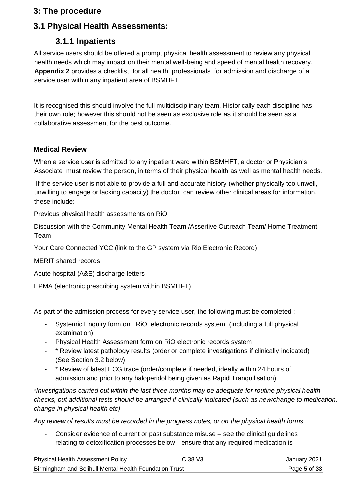#### **3: The procedure**

### **3.1 Physical Health Assessments:**

### **3.1.1 Inpatients**

All service users should be offered a prompt physical health assessment to review any physical health needs which may impact on their mental well-being and speed of mental health recovery. **Appendix 2** provides a checklist for all health professionals for admission and discharge of a service user within any inpatient area of BSMHFT

It is recognised this should involve the full multidisciplinary team. Historically each discipline has their own role; however this should not be seen as exclusive role as it should be seen as a collaborative assessment for the best outcome.

#### **Medical Review**

When a service user is admitted to any inpatient ward within BSMHFT, a doctor or Physician's Associate must review the person, in terms of their physical health as well as mental health needs.

If the service user is not able to provide a full and accurate history (whether physically too unwell, unwilling to engage or lacking capacity) the doctor can review other clinical areas for information, these include:

Previous physical health assessments on RiO

Discussion with the Community Mental Health Team /Assertive Outreach Team/ Home Treatment Team

Your Care Connected YCC (link to the GP system via Rio Electronic Record)

MERIT shared records

Acute hospital (A&E) discharge letters

EPMA (electronic prescribing system within BSMHFT)

As part of the admission process for every service user, the following must be completed :

- Systemic Enquiry form on RiO electronic records system (including a full physical examination)
- Physical Health Assessment form on RiO electronic records system
- \* Review latest pathology results (order or complete investigations if clinically indicated) (See Section 3.2 below)
- \* Review of latest ECG trace (order/complete if needed, ideally within 24 hours of admission and prior to any haloperidol being given as Rapid Tranquilisation)

*\*Investigations carried out within the last three months may be adequate for routine physical health checks, but additional tests should be arranged if clinically indicated (such as new/change to medication, change in physical health etc)* 

*Any review of results must be recorded in the progress notes, or on the physical health forms* 

Consider evidence of current or past substance misuse  $-$  see the clinical guidelines relating to detoxification processes below - ensure that any required medication is

| <b>Physical Health Assessment Policy</b>               | $C$ 38 V3 | January 2021 |
|--------------------------------------------------------|-----------|--------------|
| Birmingham and Solihull Mental Health Foundation Trust |           | Page 5 of 33 |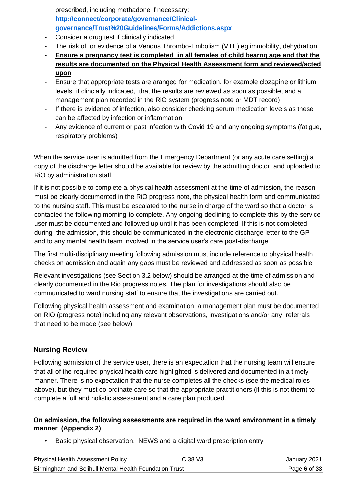prescribed, including methadone if necessary: **[http://connect/corporate/governance/Clinical](http://connect/corporate/governance/Clinical-governance/Trust%20Guidelines/Forms/Addictions.aspx)[governance/Trust%20Guidelines/Forms/Addictions.aspx](http://connect/corporate/governance/Clinical-governance/Trust%20Guidelines/Forms/Addictions.aspx)**

- Consider a drug test if clinically indicated
- The risk of or evidence of a Venous Thrombo-Embolism (VTE) eg immobility, dehydration
- **Ensure a pregnancy test is completed in all females of child bearng age and that the results are documented on the Physical Health Assessment form and reviewed/acted upon**
- Ensure that appropriate tests are aranged for medication, for example clozapine or lithium levels, if clincially indicated, that the results are reviewed as soon as possible, and a management plan recorded in the RiO system (progress note or MDT record)
- If there is evidence of infection, also consider checking serum medication levels as these can be affected by infection or inflammation
- Any evidence of current or past infection with Covid 19 and any ongoing symptoms (fatigue, respiratory problems)

When the service user is admitted from the Emergency Department (or any acute care setting) a copy of the discharge letter should be available for review by the admitting doctor and uploaded to RiO by administration staff

If it is not possible to complete a physical health assessment at the time of admission, the reason must be clearly documented in the RiO progress note, the physical health form and communicated to the nursing staff. This must be escalated to the nurse in charge of the ward so that a doctor is contacted the following morning to complete. Any ongoing declining to complete this by the service user must be documented and followed up until it has been completed. If this is not completed during the admission, this should be communicated in the electronic discharge letter to the GP and to any mental health team involved in the service user's care post-discharge

The first multi-disciplinary meeting following admission must include reference to physical health checks on admission and again any gaps must be reviewed and addressed as soon as possible

Relevant investigations (see Section 3.2 below) should be arranged at the time of admission and clearly documented in the Rio progress notes. The plan for investigations should also be communicated to ward nursing staff to ensure that the investigations are carried out.

Following physical health assessment and examination, a management plan must be documented on RIO (progress note) including any relevant observations, investigations and/or any referrals that need to be made (see below).

#### **Nursing Review**

Following admission of the service user, there is an expectation that the nursing team will ensure that all of the required physical health care highlighted is delivered and documented in a timely manner. There is no expectation that the nurse completes all the checks (see the medical roles above), but they must co-ordinate care so that the appropriate practitioners (if this is not them) to complete a full and holistic assessment and a care plan produced.

#### **On admission, the following assessments are required in the ward environment in a timely manner (Appendix 2)**

• Basic physical observation, NEWS and a digital ward prescription entry

| <b>Physical Health Assessment Policy</b>               | $C$ 38 V3 | January 2021 |
|--------------------------------------------------------|-----------|--------------|
| Birmingham and Solihull Mental Health Foundation Trust |           | Page 6 of 33 |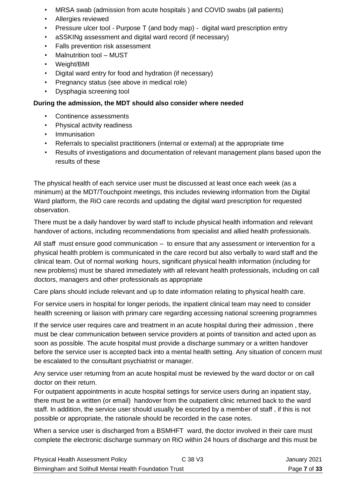- MRSA swab (admission from acute hospitals ) and COVID swabs (all patients)
- Allergies reviewed
- Pressure ulcer tool Purpose T (and body map) digital ward prescription entry
- aSSKINg assessment and digital ward record (if necessary)
- Falls prevention risk assessment
- Malnutrition tool MUST
- Weight/BMI
- Digital ward entry for food and hydration (if necessary)
- Pregnancy status (see above in medical role)
- Dysphagia screening tool

#### **During the admission, the MDT should also consider where needed**

- Continence assessments
- Physical activity readiness
- **Immunisation**
- Referrals to specialist practitioners (internal or external) at the appropriate time
- Results of investigations and documentation of relevant management plans based upon the results of these

The physical health of each service user must be discussed at least once each week (as a minimum) at the MDT/Touchpoint meetings, this includes reviewing information from the Digital Ward platform, the RiO care records and updating the digital ward prescription for requested observation.

There must be a daily handover by ward staff to include physical health information and relevant handover of actions, including recommendations from specialist and allied health professionals.

All staff must ensure good communication – to ensure that any assessment or intervention for a physical health problem is communicated in the care record but also verbally to ward staff and the clinical team. Out of normal working hours, significant physical health information (including for new problems) must be shared immediately with all relevant health professionals, including on call doctors, managers and other professionals as appropriate

Care plans should include relevant and up to date information relating to physical health care.

For service users in hospital for longer periods, the inpatient clinical team may need to consider health screening or liaison with primary care regarding accessing national screening programmes

If the service user requires care and treatment in an acute hospital during their admission , there must be clear communication between service providers at points of transition and acted upon as soon as possible. The acute hospital must provide a discharge summary or a written handover before the service user is accepted back into a mental health setting. Any situation of concern must be escalated to the consultant psychiatrist or manager.

Any service user returning from an acute hospital must be reviewed by the ward doctor or on call doctor on their return.

For outpatient appointments in acute hospital settings for service users during an inpatient stay, there must be a written (or email) handover from the outpatient clinic returned back to the ward staff. In addition, the service user should usually be escorted by a member of staff , if this is not possible or appropriate, the rationale should be recorded in the case notes.

When a service user is discharged from a BSMHFT ward, the doctor involved in their care must complete the electronic discharge summary on RiO within 24 hours of discharge and this must be

| <b>Physical Health Assessment Policy</b>               | $C$ 38 V3 | January 2021 |
|--------------------------------------------------------|-----------|--------------|
| Birmingham and Solihull Mental Health Foundation Trust |           | Page 7 of 33 |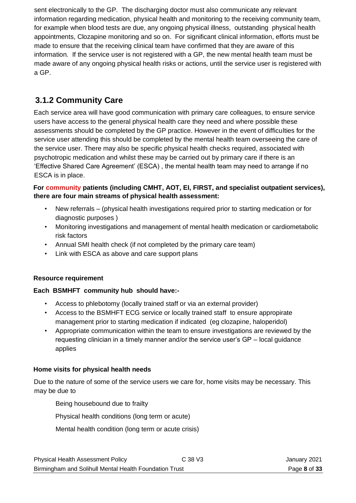sent electronically to the GP. The discharging doctor must also communicate any relevant information regarding medication, physical health and monitoring to the receiving community team, for example when blood tests are due, any ongoing physical illness, outstanding physical health appointments, Clozapine monitoring and so on. For significant clinical information, efforts must be made to ensure that the receiving clinical team have confirmed that they are aware of this information. If the service user is not registered with a GP, the new mental health team must be made aware of any ongoing physical health risks or actions, until the service user is registered with a GP.

### **3.1.2 Community Care**

Each service area will have good communication with primary care colleagues, to ensure service users have access to the general physical health care they need and where possible these assessments should be completed by the GP practice. However in the event of difficulties for the service user attending this should be completed by the mental health team overseeing the care of the service user. There may also be specific physical health checks required, associated with psychotropic medication and whilst these may be carried out by primary care if there is an 'Effective Shared Care Agreement' (ESCA) , the mental health team may need to arrange if no ESCA is in place.

#### **For community patients (including CMHT, AOT, EI, FIRST, and specialist outpatient services), there are four main streams of physical health assessment:**

- New referrals (physical health investigations required prior to starting medication or for diagnostic purposes )
- Monitoring investigations and management of mental health medication or cardiometabolic risk factors
- Annual SMI health check (if not completed by the primary care team)
- Link with ESCA as above and care support plans

#### **Resource requirement**

#### **Each BSMHFT community hub should have:-**

- Access to phlebotomy (locally trained staff or via an external provider)
- Access to the BSMHFT ECG service or locally trained staff to ensure appropirate management prior to starting medication if indicated (eg clozapine, haloperidol)
- Appropriate communication within the team to ensure investigations are reviewed by the requesting clinician in a timely manner and/or the service user's GP – local guidance applies

#### **Home visits for physical health needs**

Due to the nature of some of the service users we care for, home visits may be necessary. This may be due to

Being housebound due to frailty

Physical health conditions (long term or acute)

Mental health condition (long term or acute crisis)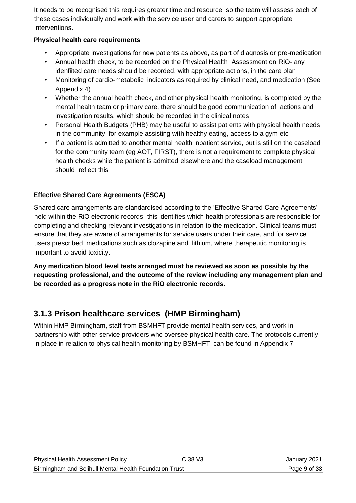It needs to be recognised this requires greater time and resource, so the team will assess each of these cases individually and work with the service user and carers to support appropriate interventions.

#### **Physical health care requirements**

- Appropriate investigations for new patients as above, as part of diagnosis or pre-medication
- Annual health check, to be recorded on the Physical Health Assessment on RiO- any idenfiited care needs should be recorded, with appropriate actions, in the care plan
- Monitoring of cardio-metabolic indicators as required by clinical need, and medication (See Appendix 4)
- Whether the annual health check, and other physical health monitoring, is completed by the mental health team or primary care, there should be good communication of actions and investigation results, which should be recorded in the clinical notes
- Personal Health Budgets (PHB) may be useful to assist patients with physical health needs in the community, for example assisting with healthy eating, access to a gym etc
- If a patient is admitted to another mental health inpatient service, but is still on the caseload for the community team (eg AOT, FIRST), there is not a requirement to complete physical health checks while the patient is admitted elsewhere and the caseload management should reflect this

#### **Effective Shared Care Agreements (ESCA)**

Shared care arrangements are standardised according to the 'Effective Shared Care Agreements' held within the RiO electronic records- this identifies which health professionals are responsible for completing and checking relevant investigations in relation to the medication. Clinical teams must ensure that they are aware of arrangements for service users under their care, and for service users prescribed medications such as clozapine and lithium, where therapeutic monitoring is important to avoid toxicity**.** 

**Any medication blood level tests arranged must be reviewed as soon as possible by the requesting professional, and the outcome of the review including any management plan and be recorded as a progress note in the RiO electronic records.** 

### **3.1.3 Prison healthcare services (HMP Birmingham)**

Within HMP Birmingham, staff from BSMHFT provide mental health services, and work in partnership with other service providers who oversee physical health care. The protocols currently in place in relation to physical health monitoring by BSMHFT can be found in Appendix 7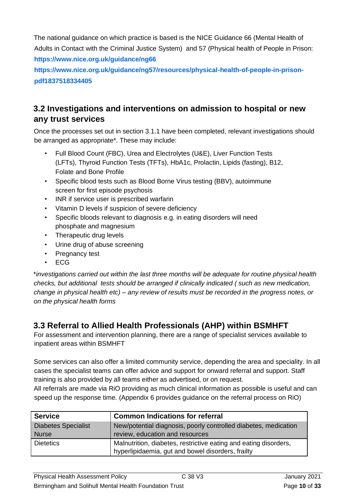The national guidance on which practice is based is the NICE Guidance 66 (Mental Health of Adults in Contact with the Criminal Justice System) and 57 (Physical health of People in Prison: **<https://www.nice.org.uk/guidance/ng66>**

**[https://www.nice.org.uk/guidance/ng57/resources/physical-health-of-people-in-prison](https://www.nice.org.uk/guidance/ng57/resources/physical-health-of-people-in-prison-pdf-1837518334405)[pdf1837518334405](https://www.nice.org.uk/guidance/ng57/resources/physical-health-of-people-in-prison-pdf-1837518334405)**

### **3.2 Investigations and interventions on admission to hospital or new any trust services**

Once the processes set out in section 3.1.1 have been completed, relevant investigations should be arranged as appropriate\*. These may include:

- Full Blood Count (FBC), Urea and Electrolytes (U&E), Liver Function Tests (LFTs), Thyroid Function Tests (TFTs), HbA1c, Prolactin, Lipids (fasting), B12, Folate and Bone Profile
- Specific blood tests such as Blood Borne Virus testing (BBV), autoimmune screen for first episode psychosis
- INR if service user is prescribed warfarin
- Vitamin D levels if suspicion of severe deficiency
- Specific bloods relevant to diagnosis e.g. in eating disorders will need phosphate and magnesium
- Therapeutic drug levels
- Urine drug of abuse screening
- Pregnancy test
- ECG

\**investigations carried out within the last three months will be adequate for routine physical health checks, but additional tests should be arranged if clinically indicated ( such as new medication, change in physical health etc) – any review of results must be recorded in the progress notes, or on the physical health forms* 

### **3.3 Referral to Allied Health Professionals (AHP) within BSMHFT**

For assessment and intervention planning, there are a range of specialist services available to inpatient areas within BSMHFT

Some services can also offer a limited community service, depending the area and speciality. In all cases the specialist teams can offer advice and support for onward referral and support. Staff training is also provided by all teams either as advertised, or on request.

All referrals are made via RiO providing as much clinical information as possible is useful and can speed up the response time. (Appendix 6 provides guidance on the referral process on RiO)

| <b>Service</b>                             | <b>Common Indications for referral</b>                                                                                |
|--------------------------------------------|-----------------------------------------------------------------------------------------------------------------------|
| <b>Diabetes Specialist</b><br><b>Nurse</b> | New/potential diagnosis, poorly controlled diabetes, medication<br>review, education and resources                    |
| <b>Dietetics</b>                           | Malnutrition, diabetes, restrictive eating and eating disorders,<br>hyperlipidaemia, gut and bowel disorders, frailty |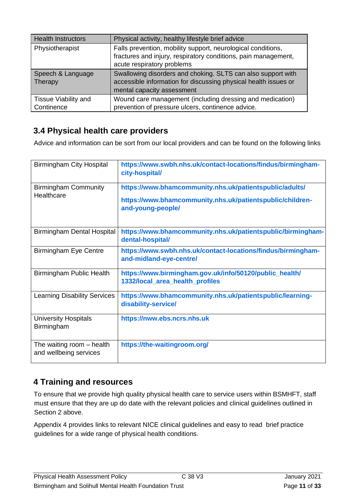| <b>Health Instructors</b>          | Physical activity, healthy lifestyle brief advice                                                                                                             |
|------------------------------------|---------------------------------------------------------------------------------------------------------------------------------------------------------------|
| Physiotherapist                    | Falls prevention, mobility support, neurological conditions,<br>fractures and injury, respiratory conditions, pain management,<br>acute respiratory problems  |
| Speech & Language<br>Therapy       | Swallowing disorders and choking. SLTS can also support with<br>accessible information for discussing physical health issues or<br>mental capacity assessment |
| Tissue Viability and<br>Continence | Wound care management (including dressing and medication)<br>prevention of pressure ulcers, continence advice.                                                |

### **3.4 Physical health care providers**

Advice and information can be sort from our local providers and can be found on the following links

| <b>Birmingham City Hospital</b>                     | https://www.swbh.nhs.uk/contact-locations/findus/birmingham-<br>city-hospital/                                                            |
|-----------------------------------------------------|-------------------------------------------------------------------------------------------------------------------------------------------|
| <b>Birmingham Community</b><br>Healthcare           | https://www.bhamcommunity.nhs.uk/patientspublic/adults/<br>https://www.bhamcommunity.nhs.uk/patientspublic/children-<br>and-young-people/ |
| Birmingham Dental Hospital                          | https://www.bhamcommunity.nhs.uk/patientspublic/birmingham-<br>dental-hospital/                                                           |
| <b>Birmingham Eye Centre</b>                        | https://www.swbh.nhs.uk/contact-locations/findus/birmingham-<br>and-midland-eye-centre/                                                   |
| <b>Birmingham Public Health</b>                     | https://www.birmingham.gov.uk/info/50120/public_health/<br>1332/local_area_health_profiles                                                |
| <b>Learning Disability Services</b>                 | https://www.bhamcommunity.nhs.uk/patientspublic/learning-<br>disability-service/                                                          |
| <b>University Hospitals</b><br>Birmingham           | https://nww.ebs.ncrs.nhs.uk                                                                                                               |
| The waiting room – health<br>and wellbeing services | https://the-waitingroom.org/                                                                                                              |

### **4 Training and resources**

To ensure that we provide high quality physical health care to service users within BSMHFT, staff must ensure that they are up do date with the relevant policies and clinical guidelines outlined in Section 2 above.

Appendix 4 provides links to relevant NICE clinical guidelines and easy to read brief practice guidelines for a wide range of physical health conditions.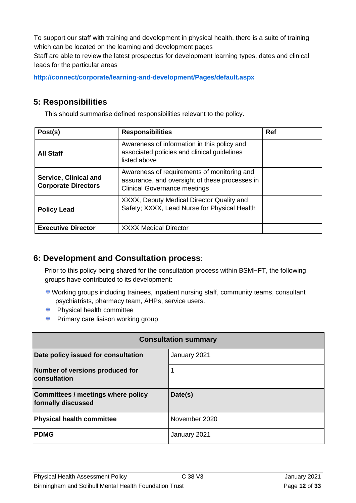To support our staff with training and development in physical health, there is a suite of training which can be located on the learning and development pages

Staff are able to review the latest prospectus for development learning types, dates and clinical leads for the particular areas

**<http://connect/corporate/learning-and-development/Pages/default.aspx>**

### **5: Responsibilities**

This should summarise defined responsibilities relevant to the policy.

| Post(s)                                                    | <b>Responsibilities</b>                                                                                                              | <b>Ref</b> |
|------------------------------------------------------------|--------------------------------------------------------------------------------------------------------------------------------------|------------|
| <b>All Staff</b>                                           | Awareness of information in this policy and<br>associated policies and clinical guidelines<br>listed above                           |            |
| <b>Service, Clinical and</b><br><b>Corporate Directors</b> | Awareness of requirements of monitoring and<br>assurance, and oversight of these processes in<br><b>Clinical Governance meetings</b> |            |
| <b>Policy Lead</b>                                         | XXXX, Deputy Medical Director Quality and<br>Safety; XXXX, Lead Nurse for Physical Health                                            |            |
| <b>Executive Director</b>                                  | <b>XXXX Medical Director</b>                                                                                                         |            |

### **6: Development and Consultation process**:

Prior to this policy being shared for the consultation process within BSMHFT, the following groups have contributed to its development:

- $\triangleq$  Working groups including trainees, inpatient nursing staff, community teams, consultant psychiatrists, pharmacy team, AHPs, service users.
- $\bigoplus$  Physical health committee
- $\triangleq$  Primary care liaison working group

| <b>Consultation summary</b>                                     |               |  |
|-----------------------------------------------------------------|---------------|--|
| Date policy issued for consultation                             | January 2021  |  |
| Number of versions produced for<br>consultation                 | 1             |  |
| <b>Committees / meetings where policy</b><br>formally discussed | Date(s)       |  |
| <b>Physical health committee</b>                                | November 2020 |  |
| <b>PDMG</b>                                                     | January 2021  |  |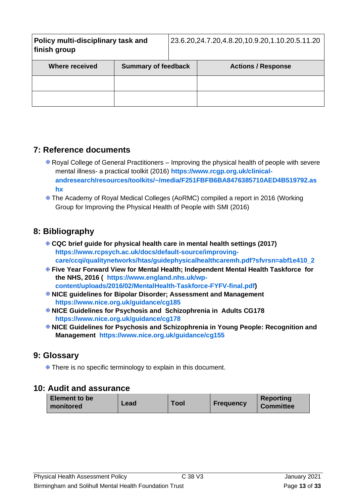| Policy multi-disciplinary task and<br>finish group |                            |  | 23.6.20,24.7.20,4.8.20,10.9.20,1.10.20.5.11.20 |
|----------------------------------------------------|----------------------------|--|------------------------------------------------|
| Where received                                     | <b>Summary of feedback</b> |  | <b>Actions / Response</b>                      |
|                                                    |                            |  |                                                |
|                                                    |                            |  |                                                |

#### **7: Reference documents**

- $\triangle$  Royal College of General Practitioners Improving the physical health of people with severe mental illness- a practical toolkit (2016) **[https://www.rcgp.org.uk/clinical](https://www.rcgp.org.uk/clinical-and-research/resources/toolkits/~/media/F251FBFB6BA8476385710AED4B519792.ashx)[andresearch/resources/toolkits/~/media/F251FBFB6BA8476385710AED4B519792.as](https://www.rcgp.org.uk/clinical-and-research/resources/toolkits/~/media/F251FBFB6BA8476385710AED4B519792.ashx) [hx](https://www.rcgp.org.uk/clinical-and-research/resources/toolkits/~/media/F251FBFB6BA8476385710AED4B519792.ashx)**
- The Academy of Royal Medical Colleges (AoRMC) compiled a report in 2016 (Working Group for Improving the Physical Health of People with SMI (2016)

### **8: Bibliography**

- **CQC brief guide for physical health care in mental health settings (2017) [https://www.rcpsych.ac.uk/docs/default-source/improving](https://www.rcpsych.ac.uk/docs/default-source/improving-care/ccqi/quality-networks/htas/guidephysicalhealthcaremh.pdf?sfvrsn=abf1e410_2)[care/ccqi/qualitynetworks/htas/guidephysicalhealthcaremh.pdf?sfvrsn=abf1e410\\_2](https://www.rcpsych.ac.uk/docs/default-source/improving-care/ccqi/quality-networks/htas/guidephysicalhealthcaremh.pdf?sfvrsn=abf1e410_2)**
- **Five Year Forward View for Mental Health; Independent Mental Health Taskforce for the NHS, 2016 ( [https://www.england.nhs.uk/wp](https://www.england.nhs.uk/wp-content/uploads/2016/02/Mental-Health-Taskforce-FYFV-final.pdf)[content/uploads/2016/02/MentalHealth-Taskforce-FYFV-final.pdf\)](https://www.england.nhs.uk/wp-content/uploads/2016/02/Mental-Health-Taskforce-FYFV-final.pdf)**
- **NICE guidelines for Bipolar Disorder; Assessment and Management <https://www.nice.org.uk/guidance/cg185>**
- **NICE Guidelines for Psychosis and Schizophrenia in Adults CG178 <https://www.nice.org.uk/guidance/cg178>**
- **NICE Guidelines for Psychosis and Schizophrenia in Young People: Recognition and Management <https://www.nice.org.uk/guidance/cg155>**

#### **9: Glossary**

 $\triangle$  There is no specific terminology to explain in this document.

#### **10: Audit and assurance**

| <b>Element to be</b><br>Reporting<br>Tool<br><b>Frequency</b><br>Lead<br><b>Committee</b><br><b>monitored</b> |  |
|---------------------------------------------------------------------------------------------------------------|--|
|---------------------------------------------------------------------------------------------------------------|--|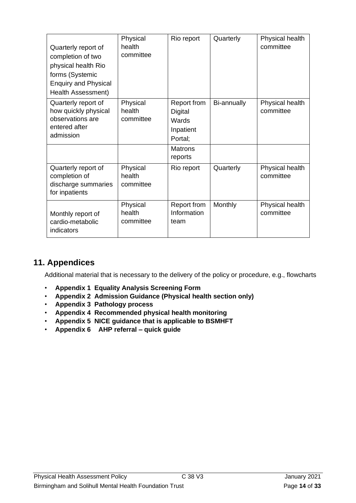| Quarterly report of<br>completion of two<br>physical health Rio<br>forms (Systemic<br><b>Enquiry and Physical</b><br>Health Assessment) | Physical<br>health<br>committee | Rio report                                                                | Quarterly   | Physical health<br>committee |
|-----------------------------------------------------------------------------------------------------------------------------------------|---------------------------------|---------------------------------------------------------------------------|-------------|------------------------------|
| Quarterly report of<br>how quickly physical<br>observations are<br>entered after<br>admission                                           | Physical<br>health<br>committee | Report from<br>Digital<br>Wards<br>Inpatient<br>Portal;<br><b>Matrons</b> | Bi-annually | Physical health<br>committee |
|                                                                                                                                         |                                 | reports                                                                   |             |                              |
| Quarterly report of<br>completion of<br>discharge summaries<br>for inpatients                                                           | Physical<br>health<br>committee | Rio report                                                                | Quarterly   | Physical health<br>committee |
| Monthly report of<br>cardio-metabolic<br>indicators                                                                                     | Physical<br>health<br>committee | Report from<br>Information<br>team                                        | Monthly     | Physical health<br>committee |

### **11. Appendices**

Additional material that is necessary to the delivery of the policy or procedure, e.g., flowcharts

- **Appendix 1 Equality Analysis Screening Form**
- **Appendix 2 Admission Guidance (Physical health section only)**
- **Appendix 3 Pathology process**
- **Appendix 4 Recommended physical health monitoring**
- **Appendix 5 NICE guidance that is applicable to BSMHFT**
- **Appendix 6 AHP referral – quick guide**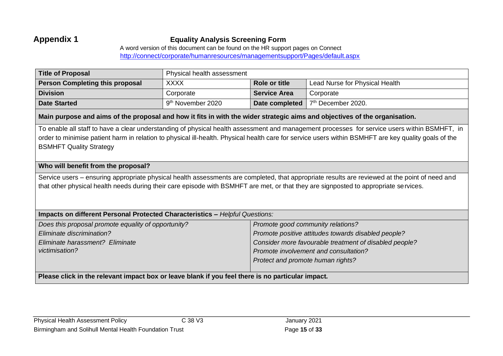### **Appendix 1 Equality Analysis Screening Form**

A word version of this document can be found on the HR support pages on Connect <http://connect/corporate/humanresources/managementsupport/Pages/default.aspx>

| <b>Title of Proposal</b>                                                                                                                                                                                                                                                                                                                                                  | Physical health assessment    |                     |                                |  |  |  |  |
|---------------------------------------------------------------------------------------------------------------------------------------------------------------------------------------------------------------------------------------------------------------------------------------------------------------------------------------------------------------------------|-------------------------------|---------------------|--------------------------------|--|--|--|--|
| <b>Person Completing this proposal</b>                                                                                                                                                                                                                                                                                                                                    | <b>XXXX</b>                   | Role or title       | Lead Nurse for Physical Health |  |  |  |  |
| <b>Division</b>                                                                                                                                                                                                                                                                                                                                                           | Corporate                     | <b>Service Area</b> | Corporate                      |  |  |  |  |
| <b>Date Started</b>                                                                                                                                                                                                                                                                                                                                                       | 9 <sup>th</sup> November 2020 | Date completed      | 7 <sup>th</sup> December 2020. |  |  |  |  |
| Main purpose and aims of the proposal and how it fits in with the wider strategic aims and objectives of the organisation.                                                                                                                                                                                                                                                |                               |                     |                                |  |  |  |  |
| To enable all staff to have a clear understanding of physical health assessment and management processes for service users within BSMHFT, in<br>order to minimise patient harm in relation to physical ill-health. Physical health care for service users within BSMHFT are key quality goals of the<br><b>BSMHFT Quality Strategy</b>                                    |                               |                     |                                |  |  |  |  |
| Who will benefit from the proposal?                                                                                                                                                                                                                                                                                                                                       |                               |                     |                                |  |  |  |  |
| Service users – ensuring appropriate physical health assessments are completed, that appropriate results are reviewed at the point of need and<br>that other physical health needs during their care episode with BSMHFT are met, or that they are signposted to appropriate services.                                                                                    |                               |                     |                                |  |  |  |  |
| Impacts on different Personal Protected Characteristics - Helpful Questions:                                                                                                                                                                                                                                                                                              |                               |                     |                                |  |  |  |  |
| Does this proposal promote equality of opportunity?<br>Promote good community relations?<br>Promote positive attitudes towards disabled people?<br>Eliminate discrimination?<br>Consider more favourable treatment of disabled people?<br>Eliminate harassment? Eliminate<br>victimisation?<br>Promote involvement and consultation?<br>Protect and promote human rights? |                               |                     |                                |  |  |  |  |
| Please click in the relevant impact box or leave blank if you feel there is no particular impact.                                                                                                                                                                                                                                                                         |                               |                     |                                |  |  |  |  |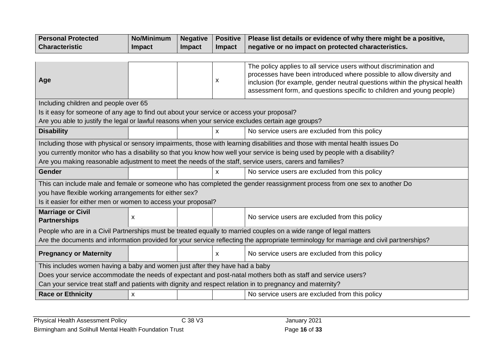| <b>Personal Protected</b><br><b>Characteristic</b>                                                                            | No/Minimum<br>Impact | <b>Negative</b><br>Impact | <b>Positive</b><br><b>Impact</b> | Please list details or evidence of why there might be a positive,<br>negative or no impact on protected characteristics.                                                                                                                                                                           |  |  |
|-------------------------------------------------------------------------------------------------------------------------------|----------------------|---------------------------|----------------------------------|----------------------------------------------------------------------------------------------------------------------------------------------------------------------------------------------------------------------------------------------------------------------------------------------------|--|--|
|                                                                                                                               |                      |                           |                                  |                                                                                                                                                                                                                                                                                                    |  |  |
| Age                                                                                                                           |                      |                           | x                                | The policy applies to all service users without discrimination and<br>processes have been introduced where possible to allow diversity and<br>inclusion (for example, gender neutral questions within the physical health<br>assessment form, and questions specific to children and young people) |  |  |
| Including children and people over 65                                                                                         |                      |                           |                                  |                                                                                                                                                                                                                                                                                                    |  |  |
| Is it easy for someone of any age to find out about your service or access your proposal?                                     |                      |                           |                                  |                                                                                                                                                                                                                                                                                                    |  |  |
| Are you able to justify the legal or lawful reasons when your service excludes certain age groups?                            |                      |                           |                                  |                                                                                                                                                                                                                                                                                                    |  |  |
| <b>Disability</b>                                                                                                             |                      |                           | X                                | No service users are excluded from this policy                                                                                                                                                                                                                                                     |  |  |
| Including those with physical or sensory impairments, those with learning disabilities and those with mental health issues Do |                      |                           |                                  |                                                                                                                                                                                                                                                                                                    |  |  |
|                                                                                                                               |                      |                           |                                  | you currently monitor who has a disability so that you know how well your service is being used by people with a disability?                                                                                                                                                                       |  |  |
|                                                                                                                               |                      |                           |                                  | Are you making reasonable adjustment to meet the needs of the staff, service users, carers and families?                                                                                                                                                                                           |  |  |
| Gender                                                                                                                        |                      |                           | X                                | No service users are excluded from this policy                                                                                                                                                                                                                                                     |  |  |
|                                                                                                                               |                      |                           |                                  | This can include male and female or someone who has completed the gender reassignment process from one sex to another Do                                                                                                                                                                           |  |  |
| you have flexible working arrangements for either sex?                                                                        |                      |                           |                                  |                                                                                                                                                                                                                                                                                                    |  |  |
| Is it easier for either men or women to access your proposal?                                                                 |                      |                           |                                  |                                                                                                                                                                                                                                                                                                    |  |  |
| <b>Marriage or Civil</b><br><b>Partnerships</b>                                                                               | X                    |                           |                                  | No service users are excluded from this policy                                                                                                                                                                                                                                                     |  |  |
|                                                                                                                               |                      |                           |                                  | People who are in a Civil Partnerships must be treated equally to married couples on a wide range of legal matters                                                                                                                                                                                 |  |  |
|                                                                                                                               |                      |                           |                                  | Are the documents and information provided for your service reflecting the appropriate terminology for marriage and civil partnerships?                                                                                                                                                            |  |  |
| <b>Pregnancy or Maternity</b>                                                                                                 |                      |                           | X                                | No service users are excluded from this policy                                                                                                                                                                                                                                                     |  |  |
| This includes women having a baby and women just after they have had a baby                                                   |                      |                           |                                  |                                                                                                                                                                                                                                                                                                    |  |  |
| Does your service accommodate the needs of expectant and post-natal mothers both as staff and service users?                  |                      |                           |                                  |                                                                                                                                                                                                                                                                                                    |  |  |
|                                                                                                                               |                      |                           |                                  | Can your service treat staff and patients with dignity and respect relation in to pregnancy and maternity?                                                                                                                                                                                         |  |  |
| <b>Race or Ethnicity</b>                                                                                                      | X                    |                           |                                  | No service users are excluded from this policy                                                                                                                                                                                                                                                     |  |  |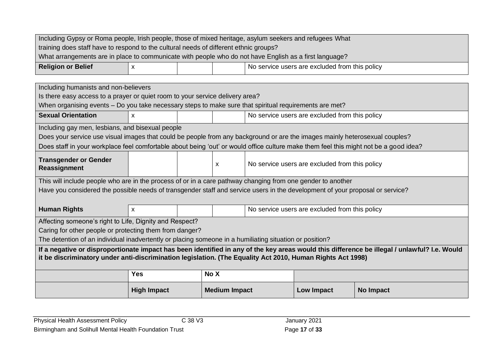| Including Gypsy or Roma people, Irish people, those of mixed heritage, asylum seekers and refugees What                                                                                                                                                    |                    |  |                      |  |                                                |                  |  |
|------------------------------------------------------------------------------------------------------------------------------------------------------------------------------------------------------------------------------------------------------------|--------------------|--|----------------------|--|------------------------------------------------|------------------|--|
| training does staff have to respond to the cultural needs of different ethnic groups?                                                                                                                                                                      |                    |  |                      |  |                                                |                  |  |
| What arrangements are in place to communicate with people who do not have English as a first language?                                                                                                                                                     |                    |  |                      |  |                                                |                  |  |
| <b>Religion or Belief</b>                                                                                                                                                                                                                                  | X                  |  |                      |  | No service users are excluded from this policy |                  |  |
|                                                                                                                                                                                                                                                            |                    |  |                      |  |                                                |                  |  |
| Including humanists and non-believers                                                                                                                                                                                                                      |                    |  |                      |  |                                                |                  |  |
| Is there easy access to a prayer or quiet room to your service delivery area?                                                                                                                                                                              |                    |  |                      |  |                                                |                  |  |
| When organising events - Do you take necessary steps to make sure that spiritual requirements are met?                                                                                                                                                     |                    |  |                      |  |                                                |                  |  |
| <b>Sexual Orientation</b><br>No service users are excluded from this policy<br>X                                                                                                                                                                           |                    |  |                      |  |                                                |                  |  |
| Including gay men, lesbians, and bisexual people                                                                                                                                                                                                           |                    |  |                      |  |                                                |                  |  |
| Does your service use visual images that could be people from any background or are the images mainly heterosexual couples?                                                                                                                                |                    |  |                      |  |                                                |                  |  |
| Does staff in your workplace feel comfortable about being 'out' or would office culture make them feel this might not be a good idea?                                                                                                                      |                    |  |                      |  |                                                |                  |  |
| <b>Transgender or Gender</b><br>Reassignment                                                                                                                                                                                                               |                    |  | X                    |  | No service users are excluded from this policy |                  |  |
| This will include people who are in the process of or in a care pathway changing from one gender to another<br>Have you considered the possible needs of transgender staff and service users in the development of your proposal or service?               |                    |  |                      |  |                                                |                  |  |
| <b>Human Rights</b>                                                                                                                                                                                                                                        | $\mathsf{x}$       |  |                      |  | No service users are excluded from this policy |                  |  |
| Affecting someone's right to Life, Dignity and Respect?                                                                                                                                                                                                    |                    |  |                      |  |                                                |                  |  |
| Caring for other people or protecting them from danger?                                                                                                                                                                                                    |                    |  |                      |  |                                                |                  |  |
| The detention of an individual inadvertently or placing someone in a humiliating situation or position?                                                                                                                                                    |                    |  |                      |  |                                                |                  |  |
| If a negative or disproportionate impact has been identified in any of the key areas would this difference be illegal / unlawful? I.e. Would<br>it be discriminatory under anti-discrimination legislation. (The Equality Act 2010, Human Rights Act 1998) |                    |  |                      |  |                                                |                  |  |
|                                                                                                                                                                                                                                                            | <b>Yes</b>         |  | No X                 |  |                                                |                  |  |
|                                                                                                                                                                                                                                                            | <b>High Impact</b> |  | <b>Medium Impact</b> |  | <b>Low Impact</b>                              | <b>No Impact</b> |  |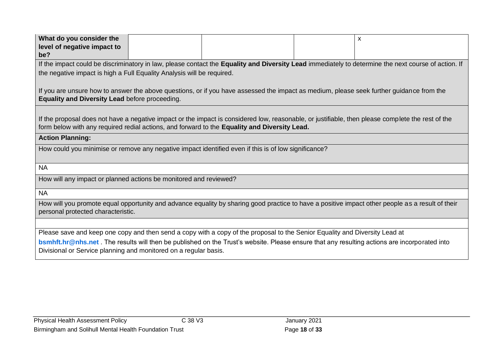| What do you consider the<br>level of negative impact to<br>be?                                                                                                                                                                                    |                                                                                                                             |                                                                                                      |  | X                                                                                                                                                   |  |  |  |  |
|---------------------------------------------------------------------------------------------------------------------------------------------------------------------------------------------------------------------------------------------------|-----------------------------------------------------------------------------------------------------------------------------|------------------------------------------------------------------------------------------------------|--|-----------------------------------------------------------------------------------------------------------------------------------------------------|--|--|--|--|
|                                                                                                                                                                                                                                                   |                                                                                                                             |                                                                                                      |  | If the impact could be discriminatory in law, please contact the Equality and Diversity Lead immediately to determine the next course of action. If |  |  |  |  |
| the negative impact is high a Full Equality Analysis will be required.                                                                                                                                                                            |                                                                                                                             |                                                                                                      |  |                                                                                                                                                     |  |  |  |  |
| If you are unsure how to answer the above questions, or if you have assessed the impact as medium, please seek further guidance from the<br>Equality and Diversity Lead before proceeding.                                                        |                                                                                                                             |                                                                                                      |  |                                                                                                                                                     |  |  |  |  |
| If the proposal does not have a negative impact or the impact is considered low, reasonable, or justifiable, then please complete the rest of the<br>form below with any required redial actions, and forward to the Equality and Diversity Lead. |                                                                                                                             |                                                                                                      |  |                                                                                                                                                     |  |  |  |  |
| <b>Action Planning:</b>                                                                                                                                                                                                                           |                                                                                                                             |                                                                                                      |  |                                                                                                                                                     |  |  |  |  |
|                                                                                                                                                                                                                                                   |                                                                                                                             | How could you minimise or remove any negative impact identified even if this is of low significance? |  |                                                                                                                                                     |  |  |  |  |
| <b>NA</b>                                                                                                                                                                                                                                         |                                                                                                                             |                                                                                                      |  |                                                                                                                                                     |  |  |  |  |
| How will any impact or planned actions be monitored and reviewed?                                                                                                                                                                                 |                                                                                                                             |                                                                                                      |  |                                                                                                                                                     |  |  |  |  |
| <b>NA</b>                                                                                                                                                                                                                                         |                                                                                                                             |                                                                                                      |  |                                                                                                                                                     |  |  |  |  |
| How will you promote equal opportunity and advance equality by sharing good practice to have a positive impact other people as a result of their<br>personal protected characteristic.                                                            |                                                                                                                             |                                                                                                      |  |                                                                                                                                                     |  |  |  |  |
|                                                                                                                                                                                                                                                   |                                                                                                                             |                                                                                                      |  |                                                                                                                                                     |  |  |  |  |
|                                                                                                                                                                                                                                                   | Please save and keep one copy and then send a copy with a copy of the proposal to the Senior Equality and Diversity Lead at |                                                                                                      |  |                                                                                                                                                     |  |  |  |  |
| bsmhft.hr@nhs.net. The results will then be published on the Trust's website. Please ensure that any resulting actions are incorporated into<br>Divisional or Service planning and monitored on a regular basis.                                  |                                                                                                                             |                                                                                                      |  |                                                                                                                                                     |  |  |  |  |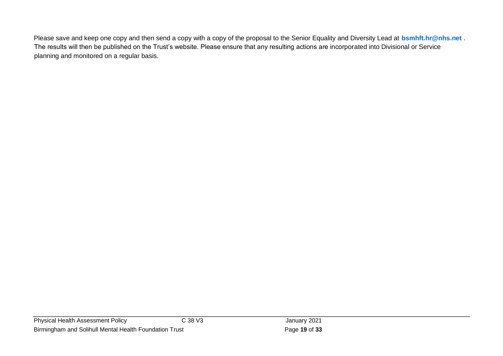Please save and keep one copy and then send a copy with a copy of the proposal to the Senior Equality and Diversity Lead at **bsmhft.hr@nhs.net** . The results will then be published on the Trust's website. Please ensure that any resulting actions are incorporated into Divisional or Service planning and monitored on a regular basis.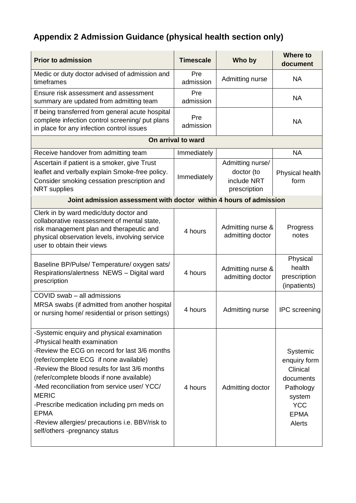## **Appendix 2 Admission Guidance (physical health section only)**

| <b>Prior to admission</b>                                                                                                                                                                                                                                                                                                                                                                                                                                                           | <b>Timescale</b>   | Who by                                                        | <b>Where to</b><br>document                                                                                     |
|-------------------------------------------------------------------------------------------------------------------------------------------------------------------------------------------------------------------------------------------------------------------------------------------------------------------------------------------------------------------------------------------------------------------------------------------------------------------------------------|--------------------|---------------------------------------------------------------|-----------------------------------------------------------------------------------------------------------------|
| Medic or duty doctor advised of admission and<br>timeframes                                                                                                                                                                                                                                                                                                                                                                                                                         | Pre<br>admission   | Admitting nurse                                               | <b>NA</b>                                                                                                       |
| Ensure risk assessment and assessment<br>summary are updated from admitting team                                                                                                                                                                                                                                                                                                                                                                                                    | Pre<br>admission   |                                                               | <b>NA</b>                                                                                                       |
| If being transferred from general acute hospital<br>complete infection control screening/ put plans<br>in place for any infection control issues                                                                                                                                                                                                                                                                                                                                    | Pre<br>admission   |                                                               | <b>NA</b>                                                                                                       |
|                                                                                                                                                                                                                                                                                                                                                                                                                                                                                     | On arrival to ward |                                                               |                                                                                                                 |
| Receive handover from admitting team                                                                                                                                                                                                                                                                                                                                                                                                                                                | Immediately        |                                                               | <b>NA</b>                                                                                                       |
| Ascertain if patient is a smoker, give Trust<br>leaflet and verbally explain Smoke-free policy.<br>Consider smoking cessation prescription and<br><b>NRT</b> supplies                                                                                                                                                                                                                                                                                                               | Immediately        | Admitting nurse/<br>doctor (to<br>include NRT<br>prescription | Physical health<br>form                                                                                         |
| Joint admission assessment with doctor within 4 hours of admission                                                                                                                                                                                                                                                                                                                                                                                                                  |                    |                                                               |                                                                                                                 |
| Clerk in by ward medic/duty doctor and<br>collaborative reassessment of mental state,<br>risk management plan and therapeutic and<br>physical observation levels, involving service<br>user to obtain their views                                                                                                                                                                                                                                                                   | 4 hours            | Admitting nurse &<br>admitting doctor                         | Progress<br>notes                                                                                               |
| Baseline BP/Pulse/ Temperature/ oxygen sats/<br>Respirations/alertness NEWS - Digital ward<br>prescription                                                                                                                                                                                                                                                                                                                                                                          | 4 hours            | Admitting nurse &<br>admitting doctor                         | Physical<br>health<br>prescription<br>(inpatients)                                                              |
| COVID swab - all admissions<br>MRSA swabs (if admitted from another hospital<br>or nursing home/ residential or prison settings)                                                                                                                                                                                                                                                                                                                                                    | 4 hours            | Admitting nurse                                               | <b>IPC</b> screening                                                                                            |
| -Systemic enquiry and physical examination<br>-Physical health examination<br>-Review the ECG on record for last 3/6 months<br>(refer/complete ECG if none available)<br>-Review the Blood results for last 3/6 months<br>(refer/complete bloods if none available)<br>-Med reconciliation from service user/YCC/<br><b>MERIC</b><br>-Prescribe medication including prn meds on<br><b>EPMA</b><br>-Review allergies/ precautions i.e. BBV/risk to<br>self/others -pregnancy status | 4 hours            | Admitting doctor                                              | Systemic<br>enquiry form<br>Clinical<br>documents<br>Pathology<br>system<br><b>YCC</b><br><b>EPMA</b><br>Alerts |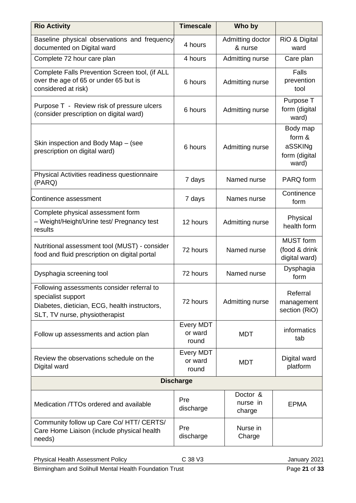| <b>Rio Activity</b>                                                                                                                                 | <b>Timescale</b>              | Who by                         |                                                         |
|-----------------------------------------------------------------------------------------------------------------------------------------------------|-------------------------------|--------------------------------|---------------------------------------------------------|
| Baseline physical observations and frequency<br>documented on Digital ward                                                                          | 4 hours                       | Admitting doctor<br>& nurse    | RiO & Digital<br>ward                                   |
| Complete 72 hour care plan                                                                                                                          | 4 hours                       | Admitting nurse                | Care plan                                               |
| Complete Falls Prevention Screen tool, (if ALL<br>over the age of 65 or under 65 but is<br>considered at risk)                                      | 6 hours                       | Admitting nurse                | <b>Falls</b><br>prevention<br>tool                      |
| Purpose T - Review risk of pressure ulcers<br>(consider prescription on digital ward)                                                               | 6 hours                       | Admitting nurse                | Purpose T<br>form (digital<br>ward)                     |
| Skin inspection and Body Map - (see<br>prescription on digital ward)                                                                                | 6 hours                       | Admitting nurse                | Body map<br>form &<br>aSSKINg<br>form (digital<br>ward) |
| Physical Activities readiness questionnaire<br>(PARQ)                                                                                               | 7 days                        | Named nurse                    | PARQ form                                               |
| Continence assessment                                                                                                                               | 7 days                        | Names nurse                    | Continence<br>form                                      |
| Complete physical assessment form<br>- Weight/Height/Urine test/ Pregnancy test<br>results                                                          | 12 hours                      | Admitting nurse                | Physical<br>health form                                 |
| Nutritional assessment tool (MUST) - consider<br>food and fluid prescription on digital portal                                                      | 72 hours                      | Named nurse                    | <b>MUST</b> form<br>(food & drink<br>digital ward)      |
| Dysphagia screening tool                                                                                                                            | 72 hours                      | Named nurse                    | Dysphagia<br>form                                       |
| Following assessments consider referral to<br>specialist support<br>Diabetes, dietician, ECG, health instructors,<br>SLT, TV nurse, physiotherapist | 72 hours                      | Admitting nurse                | Referral<br>management<br>section (RiO)                 |
| Follow up assessments and action plan                                                                                                               | Every MDT<br>or ward<br>round | <b>MDT</b>                     | informatics<br>tab                                      |
| Review the observations schedule on the<br>Digital ward                                                                                             | Every MDT<br>or ward<br>round | <b>MDT</b>                     | Digital ward<br>platform                                |
|                                                                                                                                                     | <b>Discharge</b>              |                                |                                                         |
| Medication /TTOs ordered and available                                                                                                              | Pre<br>discharge              | Doctor &<br>nurse in<br>charge | <b>EPMA</b>                                             |
| Community follow up Care Co/ HTT/ CERTS/<br>Care Home Liaison (include physical health<br>needs)                                                    | Pre<br>discharge              | Nurse in<br>Charge             |                                                         |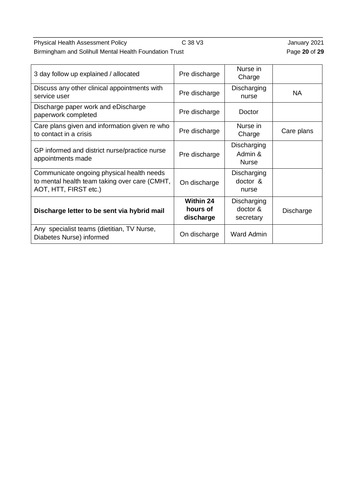Physical Health Assessment Policy C 38 V3 C 38 V3 Birmingham and Solihull Mental Health Foundation Trust Page **20** of **29**

| 3 day follow up explained / allocated                                                                               | Pre discharge                             | Nurse in<br>Charge                     |            |
|---------------------------------------------------------------------------------------------------------------------|-------------------------------------------|----------------------------------------|------------|
| Discuss any other clinical appointments with<br>service user                                                        | Pre discharge                             | Discharging<br>nurse                   | NA.        |
| Discharge paper work and eDischarge<br>paperwork completed                                                          | Pre discharge                             | Doctor                                 |            |
| Care plans given and information given re who<br>to contact in a crisis                                             | Pre discharge                             | Nurse in<br>Charge                     | Care plans |
| GP informed and district nurse/practice nurse<br>appointments made                                                  | Pre discharge                             | Discharging<br>Admin &<br><b>Nurse</b> |            |
| Communicate ongoing physical health needs<br>to mental health team taking over care (CMHT,<br>AOT, HTT, FIRST etc.) | On discharge                              | Discharging<br>doctor &<br>nurse       |            |
| Discharge letter to be sent via hybrid mail                                                                         | <b>Within 24</b><br>hours of<br>discharge | Discharging<br>doctor &<br>secretary   | Discharge  |
| Any specialist teams (dietitian, TV Nurse,<br>Diabetes Nurse) informed                                              | On discharge                              | Ward Admin                             |            |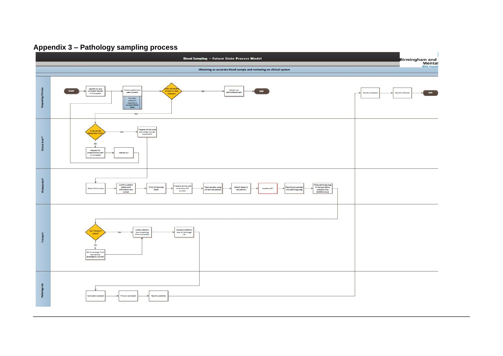#### **Appendix 3 – Pathology sampling process**

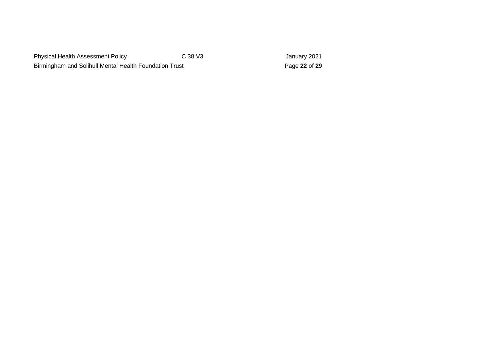Physical Health Assessment Policy C 38 V3 C 38 V3 Birmingham and Solihull Mental Health Foundation Trust Page **22** of **29**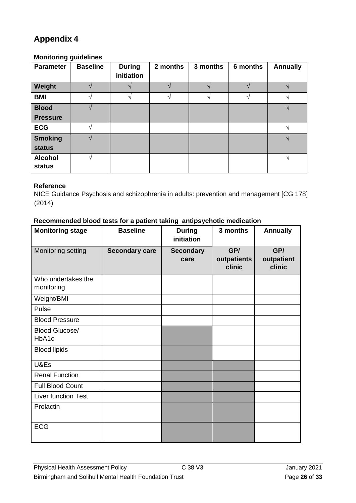### **Appendix 4**

#### **Monitoring guidelines**

| <b>Parameter</b>         | <b>Baseline</b> | <b>During</b><br>initiation | 2 months | 3 months | 6 months          | <b>Annually</b> |
|--------------------------|-----------------|-----------------------------|----------|----------|-------------------|-----------------|
| Weight                   |                 | $\mathbf{\hat{}}$           |          |          | $\mathbf{\hat{}}$ |                 |
| <b>BMI</b>               |                 |                             |          |          |                   |                 |
| <b>Blood</b>             |                 |                             |          |          |                   |                 |
| <b>Pressure</b>          |                 |                             |          |          |                   |                 |
| <b>ECG</b>               |                 |                             |          |          |                   |                 |
| <b>Smoking</b>           |                 |                             |          |          |                   |                 |
| <b>status</b>            |                 |                             |          |          |                   |                 |
| <b>Alcohol</b><br>status |                 |                             |          |          |                   |                 |

#### **Reference**

NICE Guidance Psychosis and schizophrenia in adults: prevention and management [CG 178] (2014)

#### **Recommended blood tests for a patient taking antipsychotic medication**

| <b>Monitoring stage</b>          | <b>Baseline</b>       | <b>During</b><br>initiation | 3 months                     | <b>Annually</b>             |
|----------------------------------|-----------------------|-----------------------------|------------------------------|-----------------------------|
| Monitoring setting               | <b>Secondary care</b> | <b>Secondary</b><br>care    | GP/<br>outpatients<br>clinic | GP/<br>outpatient<br>clinic |
| Who undertakes the<br>monitoring |                       |                             |                              |                             |
| Weight/BMI                       |                       |                             |                              |                             |
| Pulse                            |                       |                             |                              |                             |
| <b>Blood Pressure</b>            |                       |                             |                              |                             |
| Blood Glucose/<br>HbA1c          |                       |                             |                              |                             |
| <b>Blood lipids</b>              |                       |                             |                              |                             |
| U&Es                             |                       |                             |                              |                             |
| <b>Renal Function</b>            |                       |                             |                              |                             |
| Full Blood Count                 |                       |                             |                              |                             |
| Liver function Test              |                       |                             |                              |                             |
| Prolactin                        |                       |                             |                              |                             |
| <b>ECG</b>                       |                       |                             |                              |                             |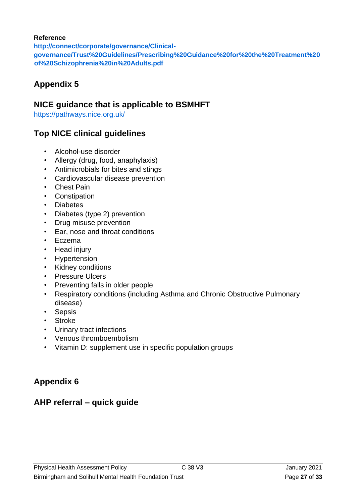#### **Reference**

**[http://connect/corporate/governance/Clinical](http://connect/corporate/governance/Clinical-governance/Trust%20Guidelines/Prescribing%20Guidance%20for%20the%20Treatment%20of%20Schizophrenia%20in%20Adults.pdf)[governance/Trust%20Guidelines/Prescribing%20Guidance%20for%20the%20Treatment%20](http://connect/corporate/governance/Clinical-governance/Trust%20Guidelines/Prescribing%20Guidance%20for%20the%20Treatment%20of%20Schizophrenia%20in%20Adults.pdf)  [of%20Schizophrenia%20in%20Adults.pdf](http://connect/corporate/governance/Clinical-governance/Trust%20Guidelines/Prescribing%20Guidance%20for%20the%20Treatment%20of%20Schizophrenia%20in%20Adults.pdf)**

### **Appendix 5**

### **NICE guidance that is applicable to BSMHFT**

<https://pathways.nice.org.uk/>

### **Top NICE clinical guidelines**

- Alcohol-use disorder
- Allergy (drug, food, anaphylaxis)
- Antimicrobials for bites and stings
- Cardiovascular disease prevention
- Chest Pain
- Constipation
- Diabetes
- Diabetes (type 2) prevention
- Drug misuse prevention
- Ear, nose and throat conditions
- Eczema
- Head injury
- Hypertension
- Kidney conditions
- Pressure Ulcers
- Preventing falls in older people
- Respiratory conditions (including Asthma and Chronic Obstructive Pulmonary disease)
- Sepsis
- Stroke
- Urinary tract infections
- Venous thromboembolism
- Vitamin D: supplement use in specific population groups

### **Appendix 6**

### **AHP referral – quick guide**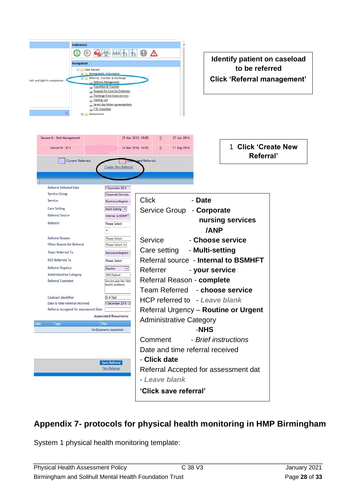

### **Appendix 7- protocols for physical health monitoring in HMP Birmingham**

System 1 physical health monitoring template: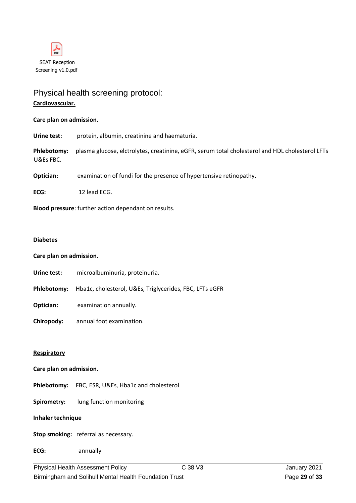

#### Physical health screening protocol: **Cardiovascular.**

#### **Care plan on admission.**

**Urine test:** protein, albumin, creatinine and haematuria. **Phlebotomy:** plasma glucose, elctrolytes, creatinine, eGFR, serum total cholesterol and HDL cholesterol LFTs U&Es FBC. **Optician:** examination of fundi for the presence of hypertensive retinopathy.

**ECG:** 12 lead ECG.

**Blood pressure**: further action dependant on results.

#### **Diabetes**

#### **Care plan on admission.**

| Urine test: | microalbuminuria, proteinuria. |  |
|-------------|--------------------------------|--|
|-------------|--------------------------------|--|

- **Phlebotomy:** Hba1c, cholesterol, U&Es, Triglycerides, FBC, LFTs eGFR
- **Optician:** examination annually.
- **Chiropody:** annual foot examination.

#### **Respiratory**

#### **Care plan on admission.**

- **Phlebotomy:** FBC, ESR, U&Es, Hba1c and cholesterol
- **Spirometry:** lung function monitoring

**Inhaler technique** 

**Stop smoking:** referral as necessary.

**ECG:** annually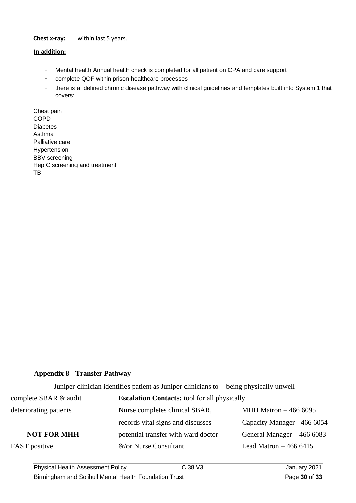#### **Chest x-ray:** within last 5 years.

#### **In addition:**

- Mental health Annual health check is completed for all patient on CPA and care support
- complete QOF within prison healthcare processes
- there is a defined chronic disease pathway with clinical guidelines and templates built into System 1 that covers:

Chest pain COPD Diabetes Asthma Palliative care Hypertension BBV screening Hep C screening and treatment TB

#### **Appendix 8 - Transfer Pathway**

Juniper clinician identifies patient as Juniper clinicians to being physically unwell

| complete SBAR & audit  | <b>Escalation Contacts:</b> tool for all physically     |                             |  |
|------------------------|---------------------------------------------------------|-----------------------------|--|
| deteriorating patients | Nurse completes clinical SBAR,<br>MHH Matron $-4666095$ |                             |  |
|                        | records vital signs and discusses                       | Capacity Manager - 466 6054 |  |
| <b>NOT FOR MHH</b>     | potential transfer with ward doctor                     | General Manager – 466 6083  |  |
| <b>FAST</b> positive   | &/or Nurse Consultant                                   | Lead Matron $-4666415$      |  |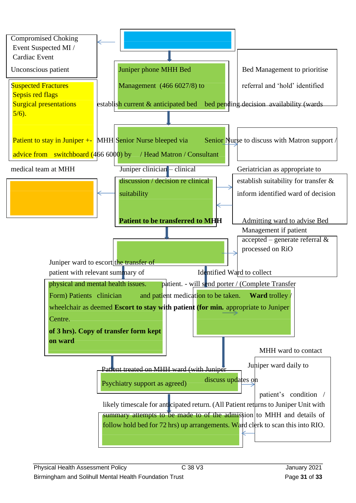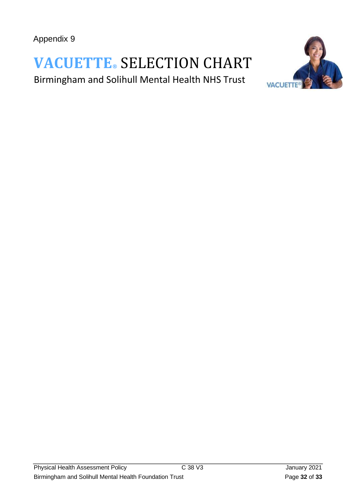Appendix 9

# **VACUETTE®** SELECTION CHART

Birmingham and Solihull Mental Health NHS Trust